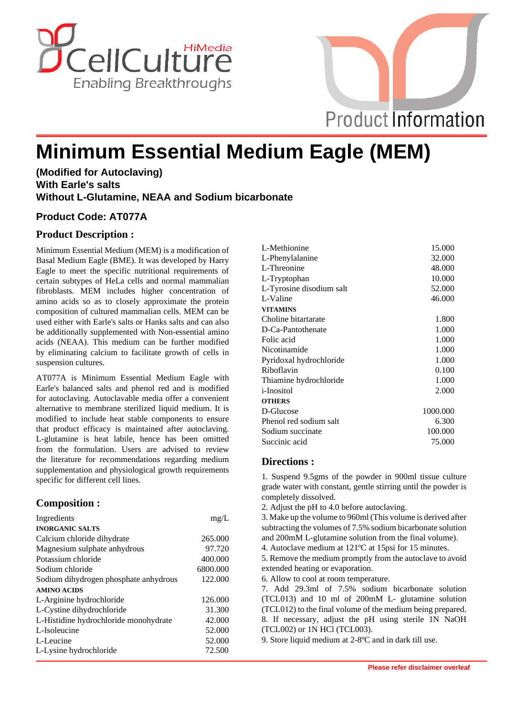



# **Minimum Essential Medium Eagle (MEM)**

# **(Modified for Autoclaving) With Earle's salts Without L-Glutamine, NEAA and Sodium bicarbonate**

### **Product Code: AT077A**

# **Product Description :**

Minimum Essential Medium (MEM) is a modification of Basal Medium Eagle (BME). It was developed by Harry Eagle to meet the specific nutritional requirements of certain subtypes of HeLa cells and normal mammalian fibroblasts. MEM includes higher concentration of amino acids so as to closely approximate the protein composition of cultured mammalian cells. MEM can be used either with Earle's salts or Hanks salts and can also be additionally supplemented with Non-essential amino acids (NEAA). This medium can be further modified by eliminating calcium to facilitate growth of cells in suspension cultures.

AT077A is Minimum Essential Medium Eagle with Earle's balanced salts and phenol red and is modified for autoclaving. Autoclavable media offer a convenient alternative to membrane sterilized liquid medium. It is modified to include heat stable components to ensure that product efficacy is maintained after autoclaving. L-glutamine is heat labile, hence has been omitted from the formulation. Users are advised to review the literature for recommendations regarding medium supplementation and physiological growth requirements specific for different cell lines.

# **Composition :**

| Ingredients                           | mg/L     |
|---------------------------------------|----------|
| <b>INORGANIC SALTS</b>                |          |
| Calcium chloride dihydrate            | 265,000  |
| Magnesium sulphate anhydrous          | 97.720   |
| Potassium chloride                    | 400.000  |
| Sodium chloride                       | 6800.000 |
| Sodium dihydrogen phosphate anhydrous | 122.000  |
| <b>AMINO ACIDS</b>                    |          |
| L-Arginine hydrochloride              | 126,000  |
| L-Cystine dihydrochloride             | 31.300   |
| L-Histidine hydrochloride monohydrate | 42.000   |
| L-Isoleucine                          | 52.000   |
| L-Leucine                             | 52.000   |
| L-Lysine hydrochloride                | 72.500   |

| L-Methionine             | 15.000   |
|--------------------------|----------|
| L-Phenylalanine          | 32.000   |
| L-Threonine              | 48.000   |
| L-Tryptophan             | 10.000   |
| L-Tyrosine disodium salt | 52.000   |
| L-Valine                 | 46.000   |
| <b>VITAMINS</b>          |          |
| Choline bitartarate      | 1.800    |
| D-Ca-Pantothenate        | 1.000    |
| Folic acid               | 1.000    |
| Nicotinamide             | 1.000    |
| Pyridoxal hydrochloride  | 1.000    |
| Riboflavin               | 0.100    |
| Thiamine hydrochloride   | 1.000    |
| <i>i</i> -Inositol       | 2.000    |
| <b>OTHERS</b>            |          |
| D-Glucose                | 1000.000 |
| Phenol red sodium salt   | 6.300    |
| Sodium succinate         | 100.000  |
| Succinic acid            | 75.000   |
|                          |          |

### **Directions :**

1. Suspend 9.5gms of the powder in 900ml tissue culture grade water with constant, gentle stirring until the powder is completely dissolved.

2. Adjust the pH to 4.0 before autoclaving.

3. Make up the volume to 960ml (This volume is derived after subtracting the volumes of 7.5% sodium bicarbonate solution and 200mM L-glutamine solution from the final volume).

4. Autoclave medium at 121ºC at 15psi for 15 minutes.

5. Remove the medium promptly from the autoclave to avoid extended heating or evaporation.

6. Allow to cool at room temperature.

7. Add 29.3ml of 7.5% sodium bicarbonate solution (TCL013) and 10 ml of 200mM L- glutamine solution (TCL012) to the final volume of the medium being prepared. 8. If necessary, adjust the pH using sterile 1N NaOH (TCL002) or 1N HCl (TCL003).

9. Store liquid medium at 2-8ºC and in dark till use.